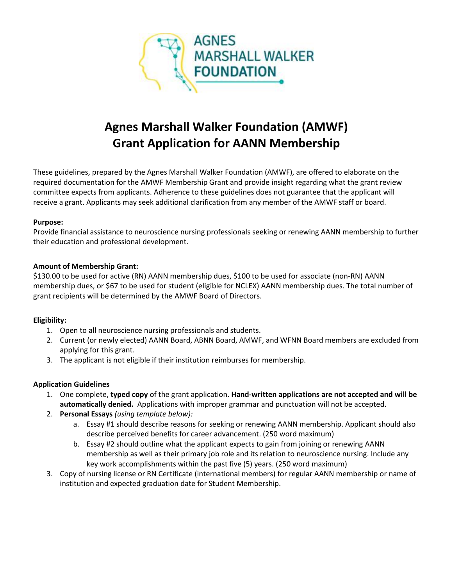

# **Agnes Marshall Walker Foundation (AMWF) Grant Application for AANN Membership**

These guidelines, prepared by the Agnes Marshall Walker Foundation (AMWF), are offered to elaborate on the required documentation for the AMWF Membership Grant and provide insight regarding what the grant review committee expects from applicants. Adherence to these guidelines does not guarantee that the applicant will receive a grant. Applicants may seek additional clarification from any member of the AMWF staff or board.

### **Purpose:**

Provide financial assistance to neuroscience nursing professionals seeking or renewing AANN membership to further their education and professional development.

### **Amount of Membership Grant:**

\$130.00 to be used for active (RN) AANN membership dues, \$100 to be used for associate (non-RN) AANN membership dues, or \$67 to be used for student (eligible for NCLEX) AANN membership dues. The total number of grant recipients will be determined by the AMWF Board of Directors.

# **Eligibility:**

- 1. Open to all neuroscience nursing professionals and students.
- 2. Current (or newly elected) AANN Board, ABNN Board, AMWF, and WFNN Board members are excluded from applying for this grant.
- 3. The applicant is not eligible if their institution reimburses for membership.

# **Application Guidelines**

- 1. One complete, **typed copy** of the grant application. **Hand-written applications are not accepted and will be automatically denied.** Applications with improper grammar and punctuation will not be accepted.
- 2. **Personal Essays** *(using template below):*
	- a. Essay #1 should describe reasons for seeking or renewing AANN membership. Applicant should also describe perceived benefits for career advancement. (250 word maximum)
	- b. Essay #2 should outline what the applicant expects to gain from joining or renewing AANN membership as well as their primary job role and its relation to neuroscience nursing. Include any key work accomplishments within the past five (5) years. (250 word maximum)
- 3. Copy of nursing license or RN Certificate (international members) for regular AANN membership or name of institution and expected graduation date for Student Membership.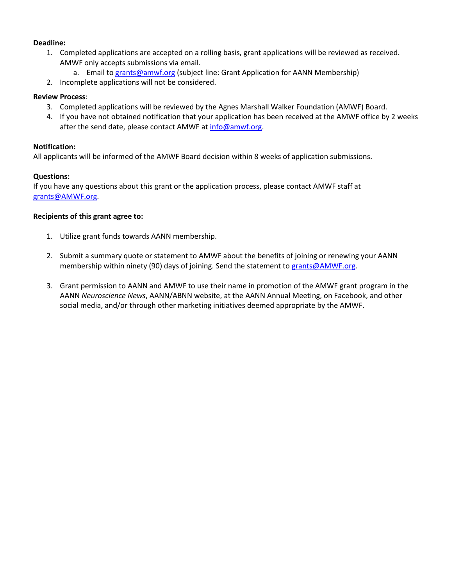#### **Deadline:**

- 1. Completed applications are accepted on a rolling basis, grant applications will be reviewed as received. AMWF only accepts submissions via email.
	- a. Email to [grants@amwf.org](mailto:grants@amwf.org?subject=Grant%20Application%20for%20AANN%20Membership) (subject line: Grant Application for AANN Membership)
- 2. Incomplete applications will not be considered.

#### **Review Process**:

- 3. Completed applications will be reviewed by the Agnes Marshall Walker Foundation (AMWF) Board.
- 4. If you have not obtained notification that your application has been received at the AMWF office by 2 weeks after the send date, please contact AMWF a[t info@amwf.org.](mailto:info@amwf.org)

#### **Notification:**

All applicants will be informed of the AMWF Board decision within 8 weeks of application submissions.

#### **Questions:**

If you have any questions about this grant or the application process, please contact AMWF staff at [grants@AMWF.org.](mailto:grants@AMWF.org)

#### **Recipients of this grant agree to:**

- 1. Utilize grant funds towards AANN membership.
- 2. Submit a summary quote or statement to AMWF about the benefits of joining or renewing your AANN membership within ninety (90) days of joining. Send the statement to [grants@AMWF.org.](mailto:grants@AMWF.org)
- 3. Grant permission to AANN and AMWF to use their name in promotion of the AMWF grant program in the AANN *Neuroscience News*, AANN/ABNN website, at the AANN Annual Meeting, on Facebook, and other social media, and/or through other marketing initiatives deemed appropriate by the AMWF.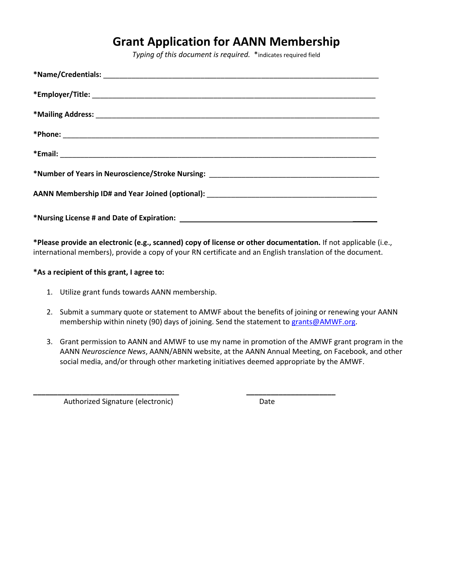# **Grant Application for AANN Membership**

*Typing of this document is required.* \*indicates required field

| *Number of Years in Neuroscience/Stroke Nursing: ________________________________ |
|-----------------------------------------------------------------------------------|
|                                                                                   |
|                                                                                   |

**\*Please provide an electronic (e.g., scanned) copy of license or other documentation.** If not applicable (i.e., international members), provide a copy of your RN certificate and an English translation of the document.

**\*As a recipient of this grant, I agree to:**

- 1. Utilize grant funds towards AANN membership.
- 2. Submit a summary quote or statement to AMWF about the benefits of joining or renewing your AANN membership within ninety (90) days of joining. Send the statement to [grants@AMWF.org.](mailto:grants@AMWF.org)
- 3. Grant permission to AANN and AMWF to use my name in promotion of the AMWF grant program in the AANN *Neuroscience News*, AANN/ABNN website, at the AANN Annual Meeting, on Facebook, and other social media, and/or through other marketing initiatives deemed appropriate by the AMWF.

**\_\_\_\_\_\_\_\_\_\_\_\_\_\_\_\_\_\_\_\_\_\_\_\_\_\_\_\_\_\_\_\_\_\_\_\_ \_\_\_\_\_\_\_\_\_\_\_\_\_\_\_\_\_\_\_\_\_\_**

Authorized Signature (electronic) Date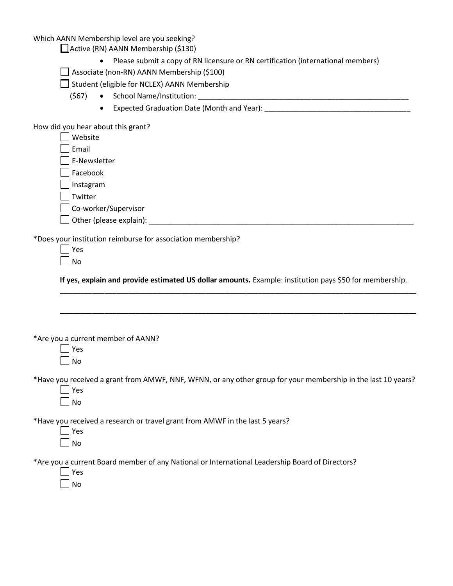# Which AANN Membership level are you seeking?

Active (RN) AANN Membership (\$130)

- Please submit a copy of RN licensure or RN certification (international members)
- Associate (non-RN) AANN Membership (\$100)

Student (eligible for NCLEX) AANN Membership

- (\$67) School Name/Institution: \_\_\_\_\_\_\_\_\_\_\_\_\_\_\_\_\_\_\_\_\_\_\_\_\_\_\_\_\_\_\_\_\_\_\_\_\_\_\_\_\_\_\_\_\_\_\_\_\_\_\_\_
	- Expected Graduation Date (Month and Year): \_\_\_\_\_\_\_\_\_\_\_\_\_\_\_\_\_\_\_\_\_\_\_\_\_\_\_\_\_\_\_\_\_\_\_

How did you hear about this grant?

| Website |  |
|---------|--|
| Email   |  |

- E-Newsletter
- Facebook
- $\Box$  Instagram

**Twitter** 

- Co-worker/Supervisor
- Other (please explain):

\*Does your institution reimburse for association membership?

 $\Box$  Yes  $\Box$  No

**If yes, explain and provide estimated US dollar amounts.** Example: institution pays \$50 for membership. **\_\_\_\_\_\_\_\_\_\_\_\_\_\_\_\_\_\_\_\_\_\_\_\_\_\_\_\_\_\_\_\_\_\_\_\_\_\_\_\_\_\_\_\_\_\_\_\_\_\_\_\_\_\_\_\_\_\_\_\_\_\_\_\_\_\_\_\_\_\_\_\_\_\_\_\_\_\_\_\_\_\_\_\_\_\_\_\_**

**\_\_\_\_\_\_\_\_\_\_\_\_\_\_\_\_\_\_\_\_\_\_\_\_\_\_\_\_\_\_\_\_\_\_\_\_\_\_\_\_\_\_\_\_\_\_\_\_\_\_\_\_\_\_\_\_\_\_\_\_\_\_\_\_\_\_\_\_\_\_\_\_\_\_\_\_\_\_\_\_\_\_\_\_\_\_\_\_**

\*Are you a current member of AANN?

| c<br>Ξ |
|--------|
| J<br>٦ |

- \*Have you received a grant from AMWF, NNF, WFNN, or any other group for your membership in the last 10 years?
	- Yes  $\Box$  No

\*Have you received a research or travel grant from AMWF in the last 5 years?

| ż. |
|----|
| ר  |

\*Are you a current Board member of any National or International Leadership Board of Directors?

Yes No